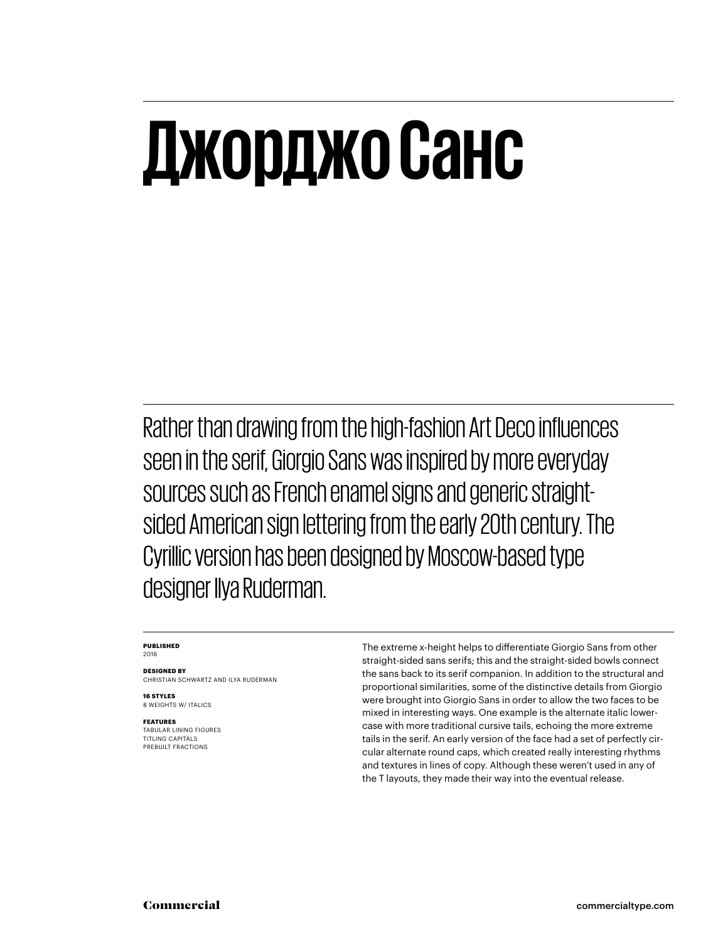## **Джорджо Санс**

Rather than drawing from the high-fashion Art Deco influences seen in the serif, Giorgio Sans was inspired by more everyday sources such as French enamel signs and generic straightsided American sign lettering from the early 20th century. The Cyrillic version has been designed by Moscow-based type designer Ilya Ruderman.

#### **PUBLISHED** 2016

**DESIGNED BY** CHRISTIAN SCHWARTZ AND ILYA RUDERMAN

**16 STYLES** 8 WEIGHTS W/ ITALICS

**FEATURES** TABULAR LINING FIGURES TITLING CAPITALS PREBUILT FRACTIONS

The extreme x-height helps to differentiate Giorgio Sans from other straight-sided sans serifs; this and the straight-sided bowls connect the sans back to its serif companion. In addition to the structural and proportional similarities, some of the distinctive details from Giorgio were brought into Giorgio Sans in order to allow the two faces to be mixed in interesting ways. One example is the alternate italic lowercase with more traditional cursive tails, echoing the more extreme tails in the serif. An early version of the face had a set of perfectly circular alternate round caps, which created really interesting rhythms and textures in lines of copy. Although these weren't used in any of the T layouts, they made their way into the eventual release.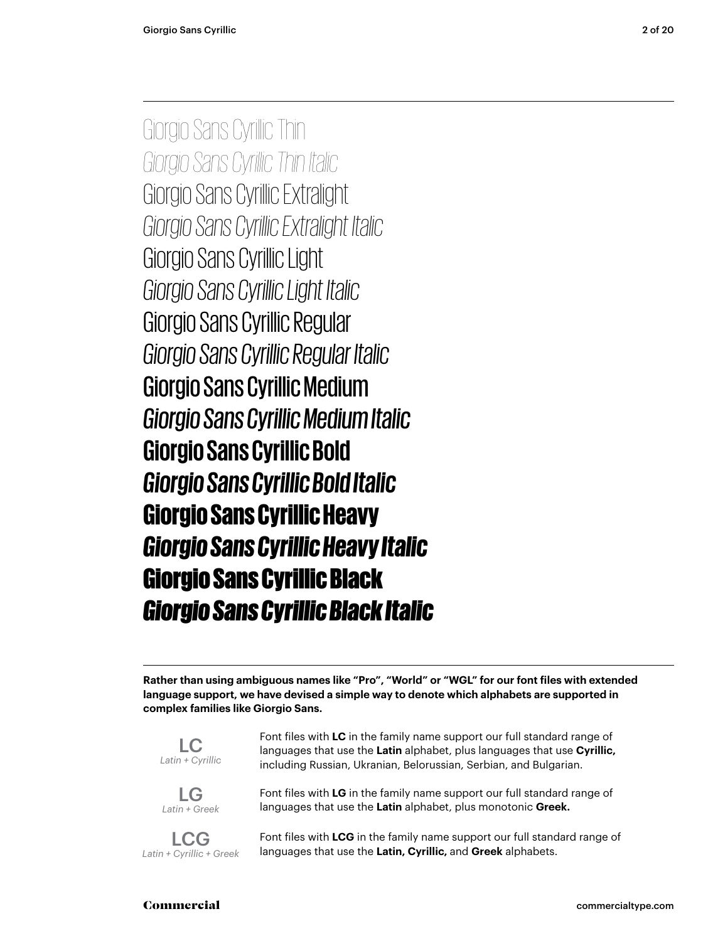Giorgio Sans Cyrillic Thin *Giorgio Sans Cyrillic Thin Italic* Giorgio Sans Cyrillic Extralight *Giorgio Sans Cyrillic Extralight Italic* Giorgio Sans Cyrillic Light *Giorgio Sans Cyrillic Light Italic* Giorgio Sans Cyrillic Regular *Giorgio Sans Cyrillic Regular Italic* Giorgio Sans Cyrillic Medium *Giorgio Sans Cyrillic Medium Italic* **Giorgio Sans Cyrillic Bold** *Giorgio Sans Cyrillic Bold Italic* Giorgio Sans Cyrillic Heavy *Giorgio Sans Cyrillic Heavy Italic* Giorgio Sans Cyrillic Black *Giorgio Sans Cyrillic Black Italic*

**Rather than using ambiguous names like "Pro", "World" or "WGL" for our font files with extended language support, we have devised a simple way to denote which alphabets are supported in complex families like Giorgio Sans.**



LG *Latin + Greek*

LCG *Latin + Cyrillic + Greek* languages that use the **Latin** alphabet, plus languages that use **Cyrillic,** including Russian, Ukranian, Belorussian, Serbian, and Bulgarian.

Font files with **LC** in the family name support our full standard range of

Font files with **LG** in the family name support our full standard range of languages that use the **Latin** alphabet, plus monotonic **Greek.**

Font files with **LCG** in the family name support our full standard range of languages that use the **Latin, Cyrillic,** and **Greek** alphabets.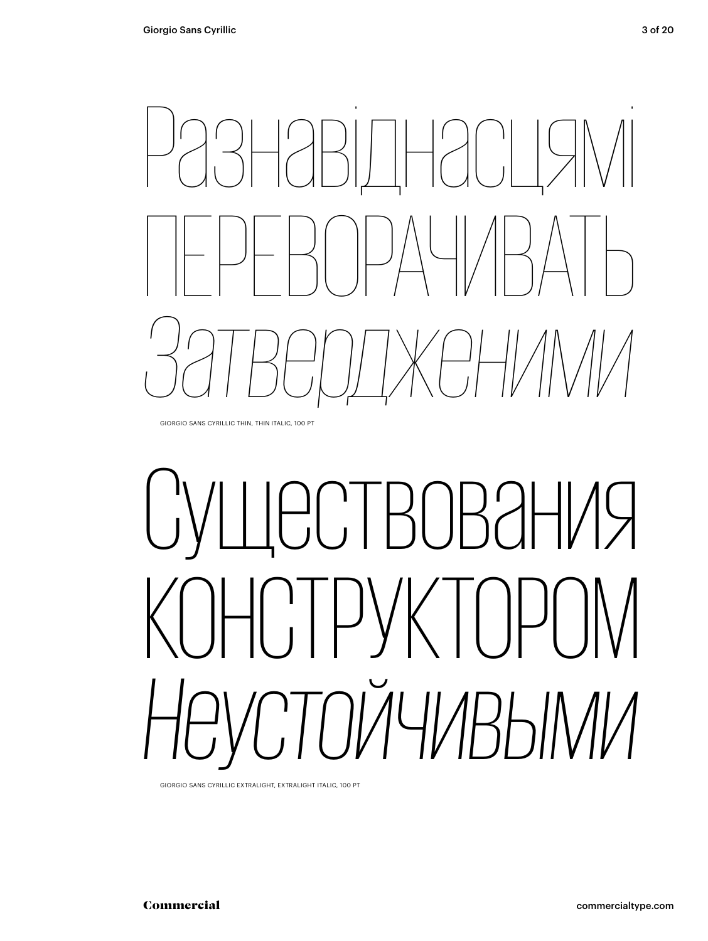GIORGIO SANS CYRILLIC THIN, THIN ITALIC, 100 PT

# **ЕСТВОВАНИЯ** РУКТОРС *Неустойчивыми*

GIORGIO SANS CYRILLIC EXTRALIGHT, EXTRALIGHT ITALIC, 100 PT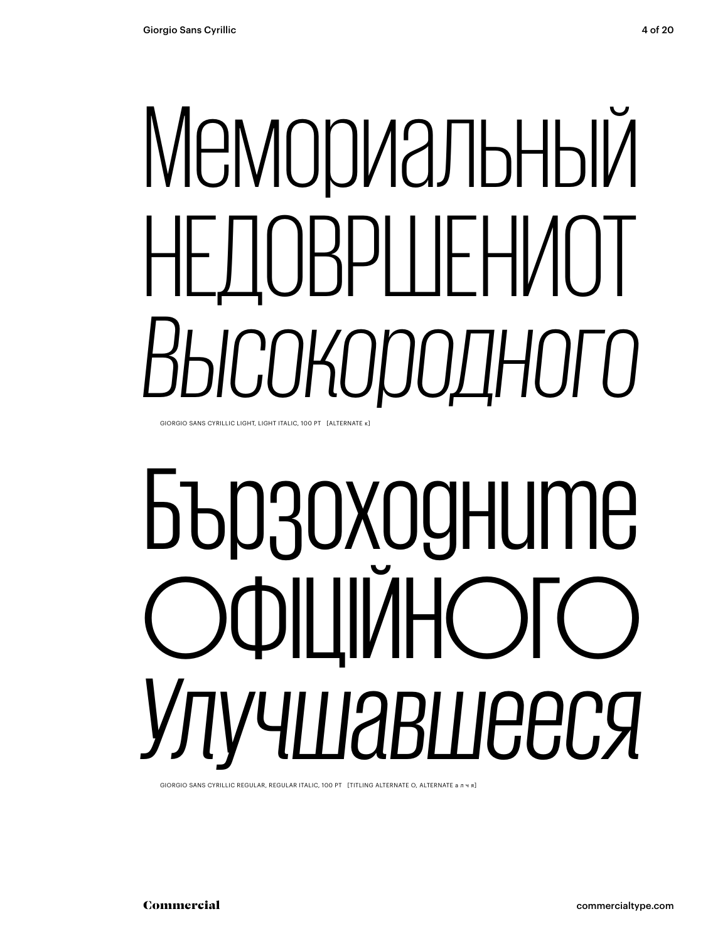# Мемориальный НЕДОВРШЕНИОТ *Высокородного*

GIORGIO SANS CYRILLIC LIGHT, LIGHT ITALIC, 100 PT [ALTERNATE κ]

# Бързоходните ОФІЦІЙНОГО *Улучшавшееся*

GIORGIO SANS CYRILLIC REGULAR, REGULAR ITALIC, 100 PT [TITLING ALTERNATE O, ALTERNATE а л ч я]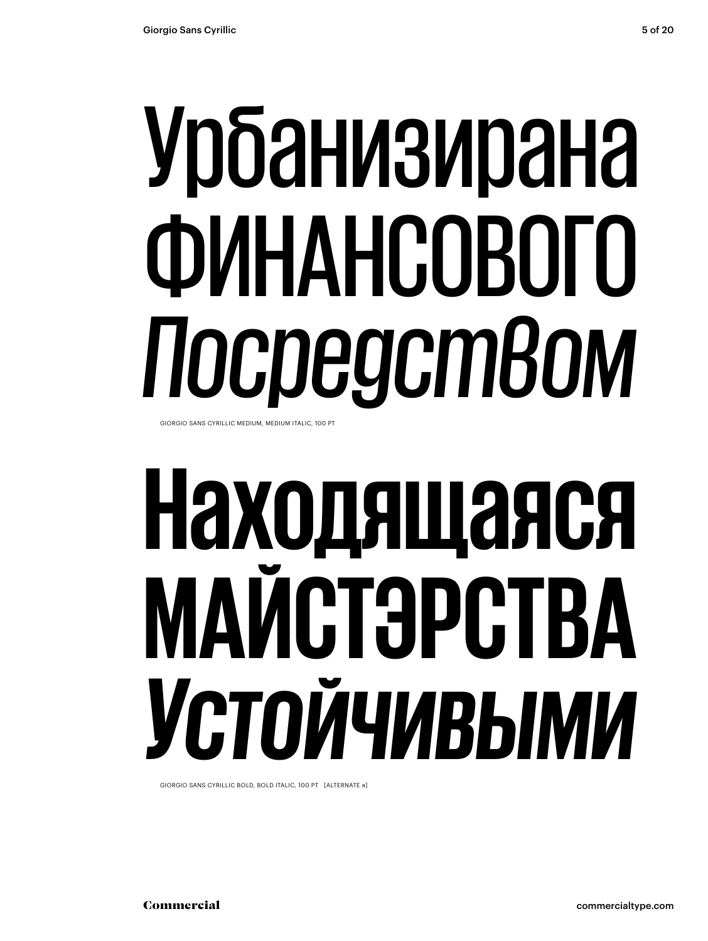## Урбанизирана ФИНАНСОВОГО *Посредством* GIORGIO SANS CYRILLIC MEDIUM, MEDIUM ITALIC, 100 PT

# **Находящаяся МАЙСТЭРСТВА** *Устойчивыми*

GIORGIO SANS CYRILLIC BOLD, BOLD ITALIC, 100 PT [ALTERNATE я]

Commercial commercialtype.com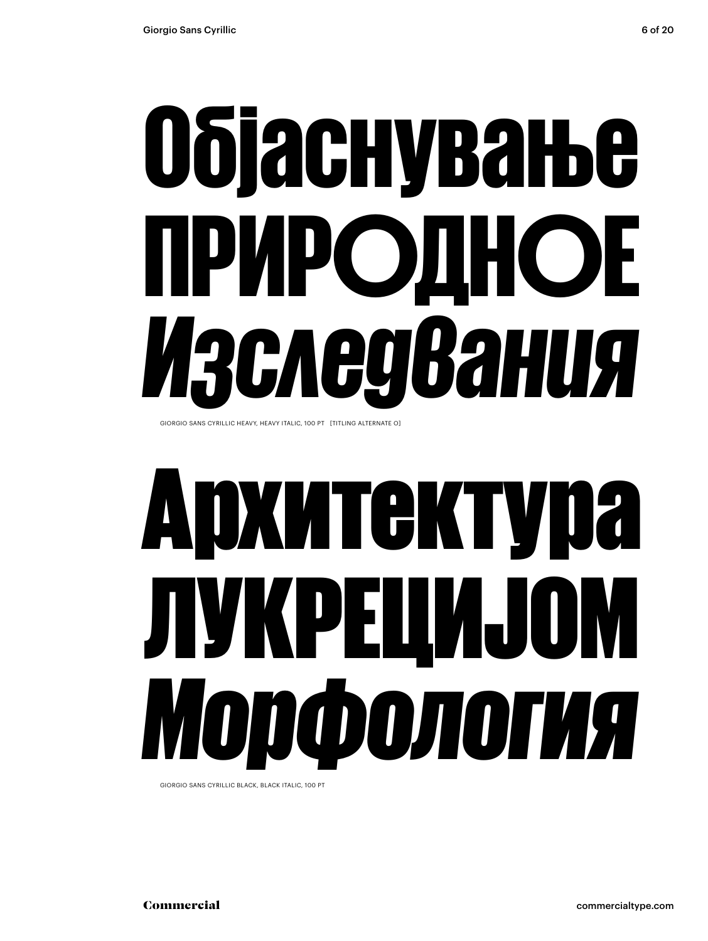# Објаснување ПРИРОДНОЕ *Изследвания*

GIORGIO SANS CYRILLIC HEAVY, HEAVY ITALIC, 100 PT [TITLING ALTERNATE O]

# Архитектура ЛУКРЕЦИЈОМ *Морфология*

GIORGIO SANS CYRILLIC BLACK, BLACK ITALIC, 100 PT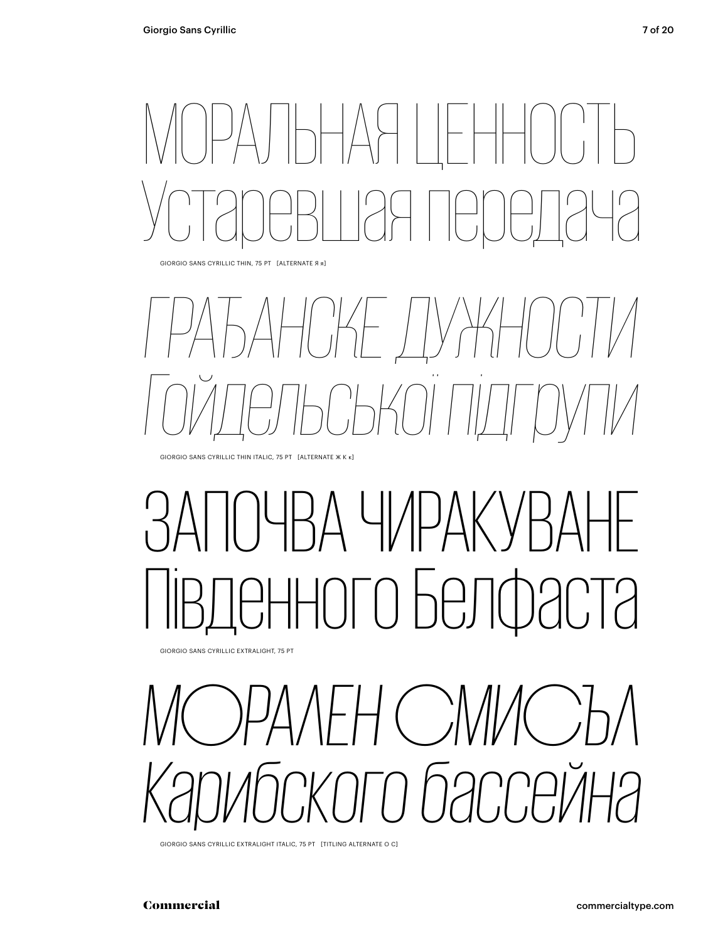## МОРАЛЬНАЯ ЦЕННОСТЬ Устаревшая передача

GIORGIO SANS CYRILLIC THIN, 75 PT [ALTERNATE Я я]

## *ГРАЂАНСКЕ ДУЖНОСТИ Гойдельської підгрупи*

GIORGIO SANS CYRILLIC THIN ITALIC, 75 PT [ALTERNATE Ж К к]

## Д ЧИРАК ого Белфаста

GIORGIO SANS CYRILLIC EXTRALIGHT, 75 PT

*МОРАЛЕН СМИСЪЛ Карибского бассейна*

GIORGIO SANS CYRILLIC EXTRALIGHT ITALIC, 75 PT [TITLING ALTERNATE O C]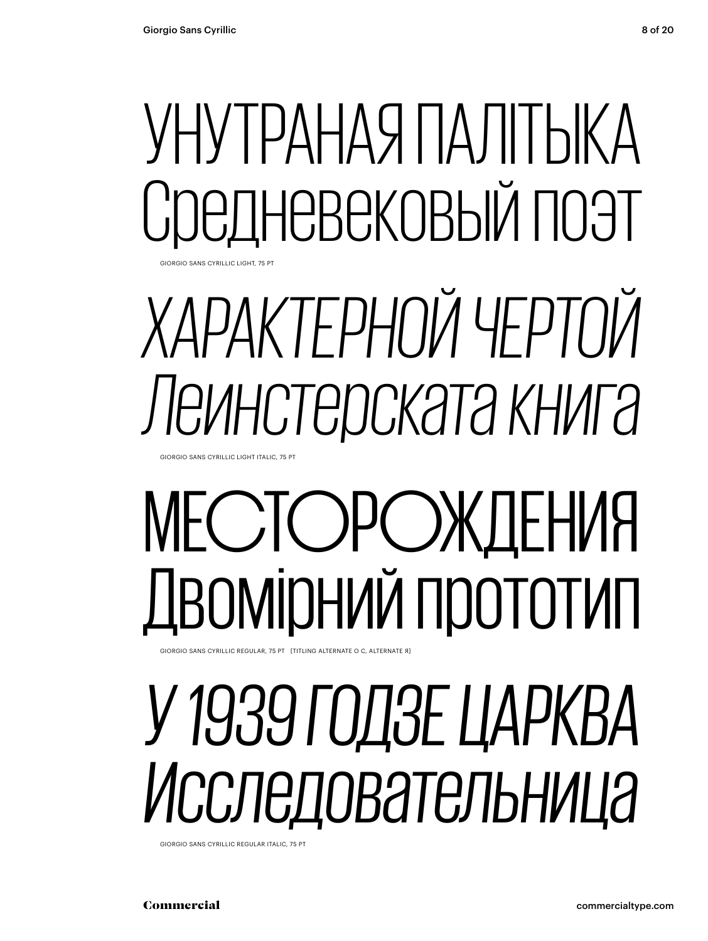### УНУТРАНАЯ ПАЛІТЫКА ІНЕВЕКОВЫЙ ПОЭТ GIORGIO SANS CYRILLIC LIGHT, 75 PT

## *ХАРАКТЕРНОЙ ЧЕРТОЙ Леинстерската книга*

GIORGIO SANS CYRILLIC LIGHT ITALIC, 75 PT

## МЕСТОРОЖДЕНИЯ Двомірний прототип

GIORGIO SANS CYRILLIC REGULAR, 75 PT [TITLING ALTERNATE O C, ALTERNATE Я]

## *У 1939 ГОДЗЕ ЦАРКВА Исследовательница*

GIORGIO SANS CYRILLIC REGULAR ITALIC, 75 PT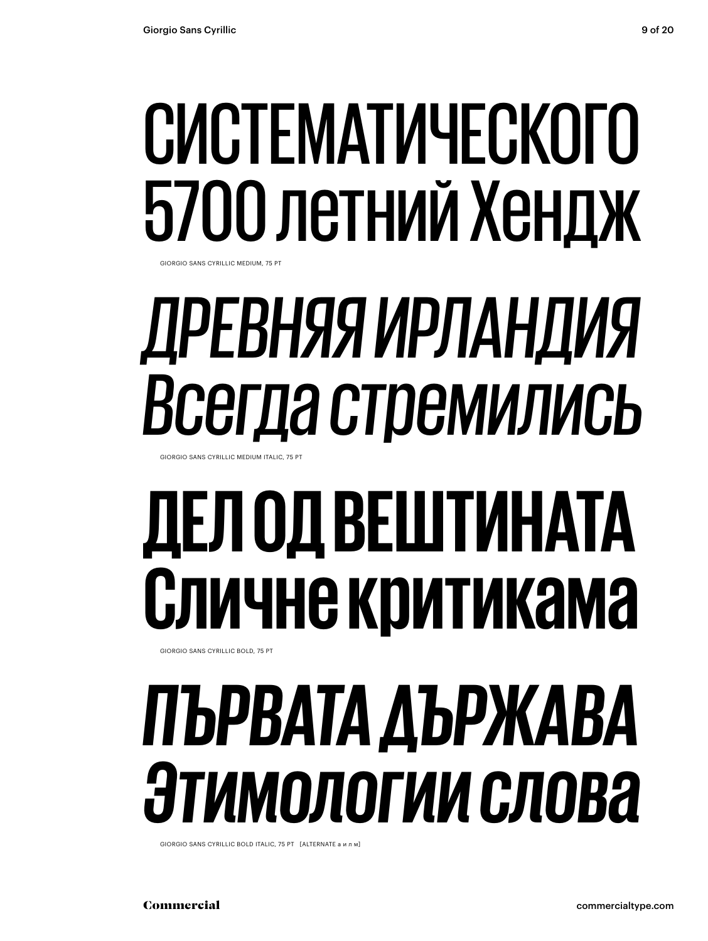## СИСТЕМАТИЧЕСКОГО 5700 летний Хендж

GIORGIO SANS CYRILLIC MEDIUM, 75 PT

## *ДРЕВНЯЯ ИРЛАНДИЯ Всегда стремились*

GIORGIO SANS CYRILLIC MEDIUM ITALIC, 75 PT

## **ДЕЛ ОД ВЕШТИНАТА Сличне критикама**

GIORGIO SANS CYRILLIC BOLD, 75 PT

## *ПЪРВАТА ДЪРЖАВА Этимологии слова*

GIORGIO SANS CYRILLIC BOLD ITALIC, 75 PT [ALTERNATE а и л м]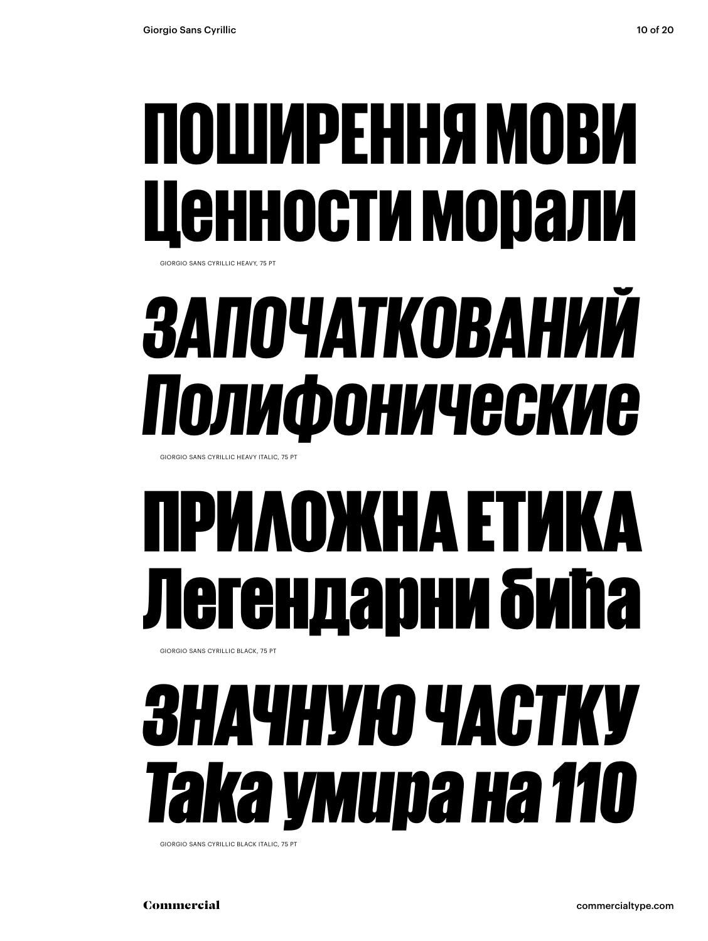### ПОШИРЕННЯ МОВИ Ценности морали GIORGIO SANS CYRILLIC HEAVY, 75 PT

## *ЗАПОЧАТКОВАНИЙ Полифонические*

GIORGIO SANS CYRILLIC HEAVY ITALIC, 75 PT

### ІРИЛОЖНА ЕТІ ендарни бића GIORGIO SANS CYRILLIC BLACK, 75 PT

## *ЗНАЧНУЮ ЧАСТКУ Така умира на 110*

GIORGIO SANS CYRILLIC BLACK ITALIC, 75 PT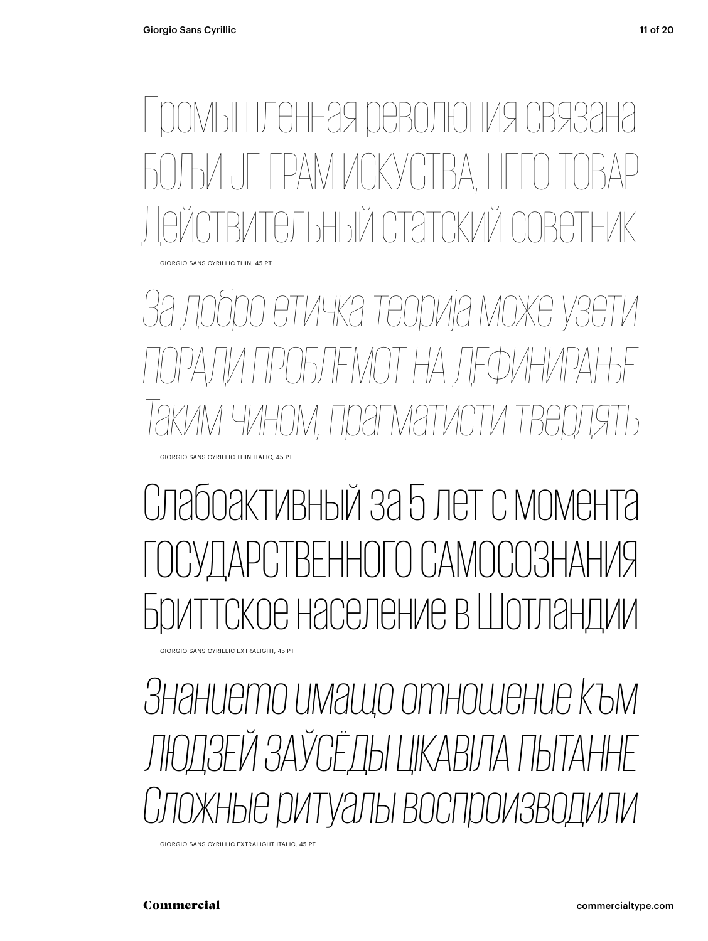ОМЫШЛЕННАЯ <u>РЕВОЛЮЦИЯ СВ</u> ЈЕ ГРАМ ИСКУСТВА, Н ный статский

GIORGIO SANS CYRILLIC THIN, 45 PT

*За добро етичка теорија може узети ПОРАДИ ПРОБЛЕМОТ НА ДЕФИНИРАЊЕ Таким чином, прагматисти твердять* GIORGIO SANS CYRILLIC THIN ITALIC, 45 PT

Слабоактивный за 5 лет с момента СТВЕННОГО САМОСО ре население в Шотлан

GIORGIO SANS CYRILLIC EXTRALIGHT, 45 PT

*Знанието имащо отношение към ЛЮДЗЕЙ ЗАЎСЁДЫ ЦІКАВІЛА ПЫТАННЕ* чые ритуалы воспроизв

GIORGIO SANS CYRILLIC EXTRALIGHT ITALIC, 45 PT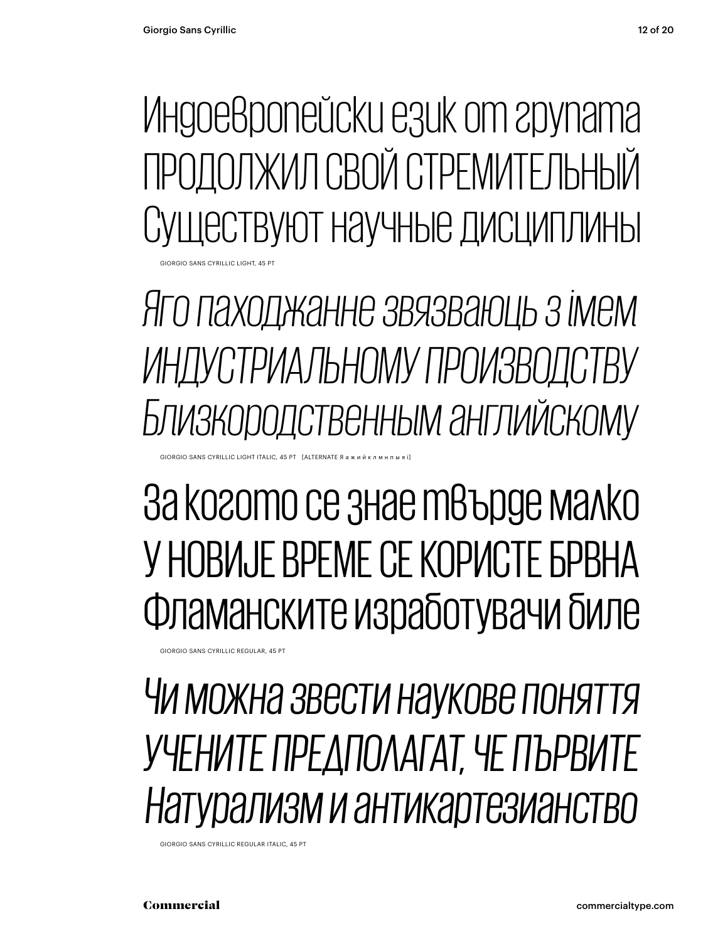Индоевропейски език от групата ПРОДОЛЖИЛ СВОЙ СТРЕМИТЕЛЬНЫЙ Существуют научные дисциплины

**GIORGIO SANS CYRILLIC LIGHT, 45 FT** 

*Яго паходжанне звязваюць з імем ИНДУСТРИАЛЬНОМУ ПРОИЗВОДСТВУ Близкородственным английскому*

### За когото се знае твърде малко У НОВИЈЕ ВРЕМЕ СЕ КОРИСТЕ БРВНА Фламанските изработувачи биле

GIORGIO SANS CYRILLIC REGULAR, 45 PT

GIORGIO SANS CYRILLIC LIGHT ITALIC, 45 PT [ALTERNATE Я а ж и й к л м н п ы

### *Чи можна звести наукове поняття УЧЕНИТЕ ПРЕДПОЛАГАТ, ЧЕ ПЪРВИТЕ Натурализм и антикартезианство*

GIORGIO SANS CYRILLIC REGULAR ITALIC, 45 PT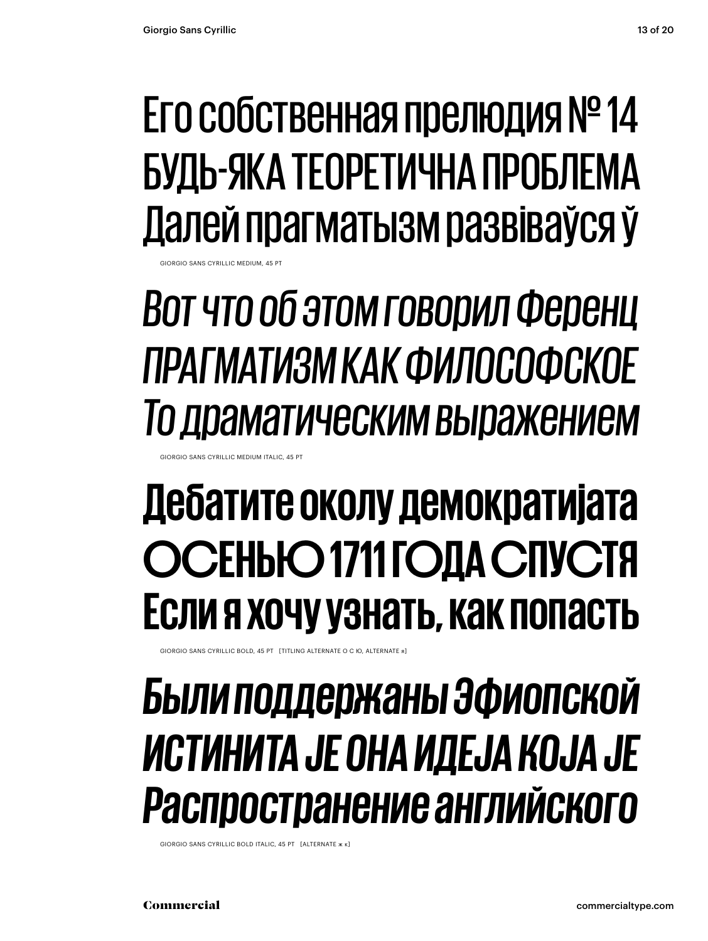### Его собственная прелюдия №14 БУДЬ-ЯКА ТЕОРЕТИЧНА ПРОБЛЕМА Далей прагматызм развіваўся ў

### Вот что об этом говорил Ференц ПРАГМАТИЗМ КАК ФИЛОСОФСКОЕ То драматическим выражением

**SIORGIO SANS CYRILLIC MEDIUM ITALIC, 45 PT** 

### Дебатите околу демократијата ОСЕНЬЮ 1711 ГОДА СПУСТЯ ЕСЛИ Я ХОЧУ УЗНАТЬ, КАК ПОПАСТЬ

GIORGIO SANS CYRILLIC BOLD, 45 PT [TITLING ALTERNATE O C IO, ALTERNATE &

### Были поддержаны Эфиопской ИСТИНИТА ЈЕ ОНА ИДЕЈА KOJA ЈЕ Распространение английского

GIORGIO SANS CYRILLIC BOLD ITALIC, 45 PT [ALTERNATE \* K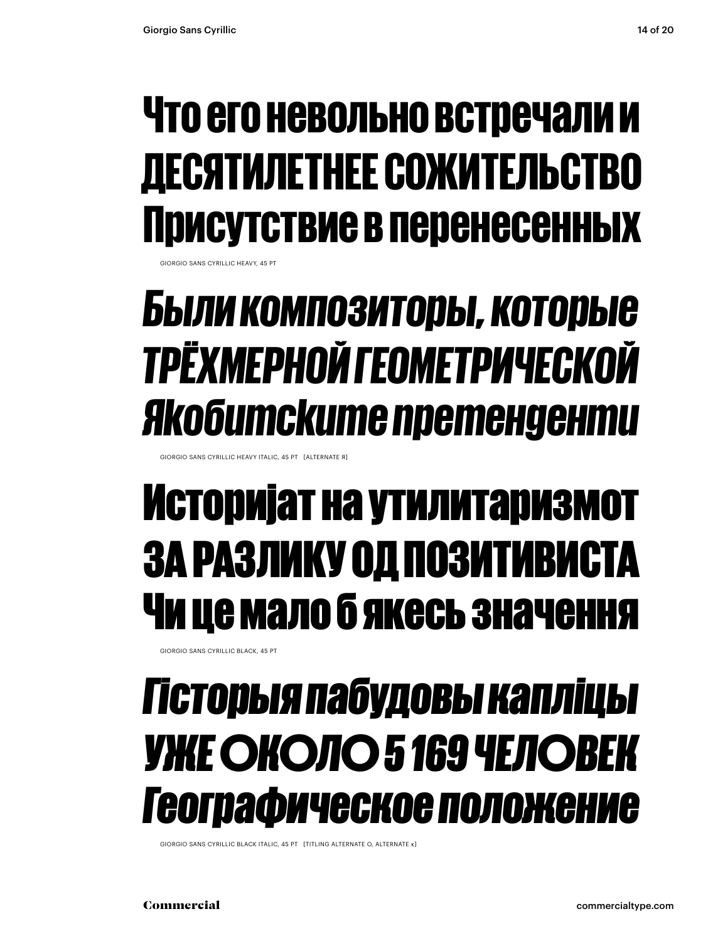### Что его невольно встречали и ДЕСЯТИЛЕТНЕЕ СОЖИТЕЛЬСТВО Присутствие в перенесенных

**HORGIO SANS CYRILLIC HEAVY, 45 PT** 

### БЫЛИ КОМПОЗИТОРЫ, КОТОРЫЕ ТРЁХМЕРНОЙ ГЕОМЕТРИЧЕСКОЙ Якобитските претенденти

GIORGIO SANS CYRILLIC HEAVY ITALIC, 45 PT [ALTERNATE Я]

### Историјат на утилитаризмот ЗА РАЗЛИКУ ОД ПОЗИТИВИСІ ſА Чи це мало б якесь значення

**GIORGIO SANS CYRILLIC BLACK, 45 PT** 

### Гісторыя пабудовы капліцы **УЖЕ ОКОЛО 5 169 ЧЕЛОВЕК** Географическое положение

GIORGIO SANS CYRILLIC BLACK ITALIC, 45 PT [TITLING ALTERNATE O, ALTERNATE K]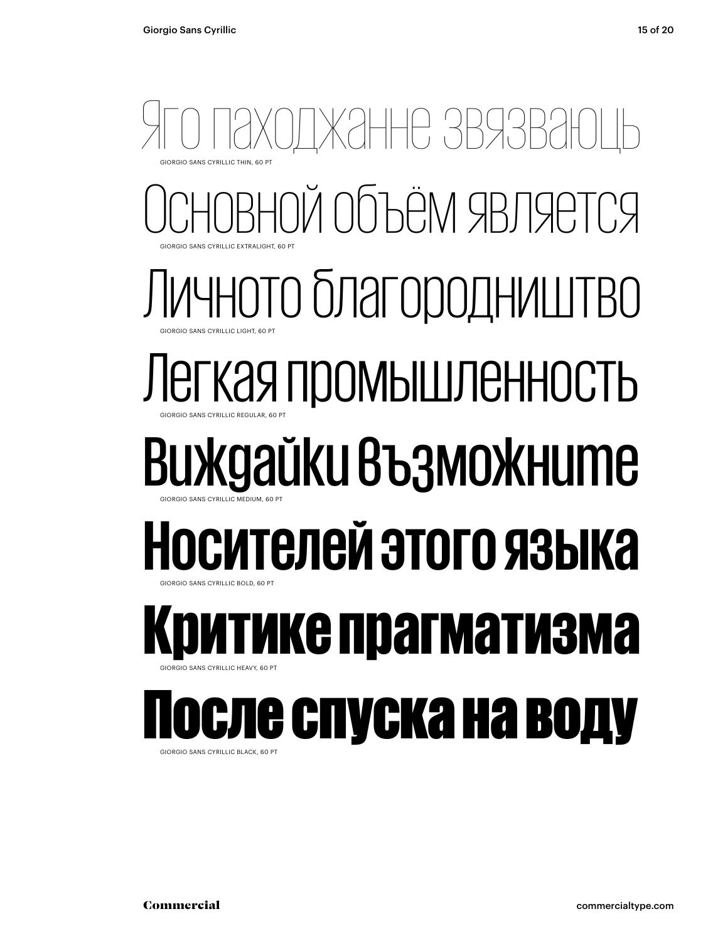### ЖАННЕ ЗВЯЗІ ОЙ Объём является Личното благородништво Легкая промышленность Виждайки възможните **Носителей этого языка** гике прагматизма После спуска на воду GIORGIO SANS CYRILLIC THIN, 60 PT **SIORGIO SANS CYRILLIC EXTRALIGHT, 60 PT** GIORGIO SANS CYRILLIC LIGHT, 60 PT GIORGIO SANS CYRILLIC REGULAR, 60 PT GIORGIO SANS CYRILLIC MEDIUM, 60 PT GIORGIO SANS CYRILLIC BOLD, 60 PT GIORGIO SANS CYRILLIC HEAVY, 60 PT

GIORGIO SANS CYRILLIC BLACK, 60 PT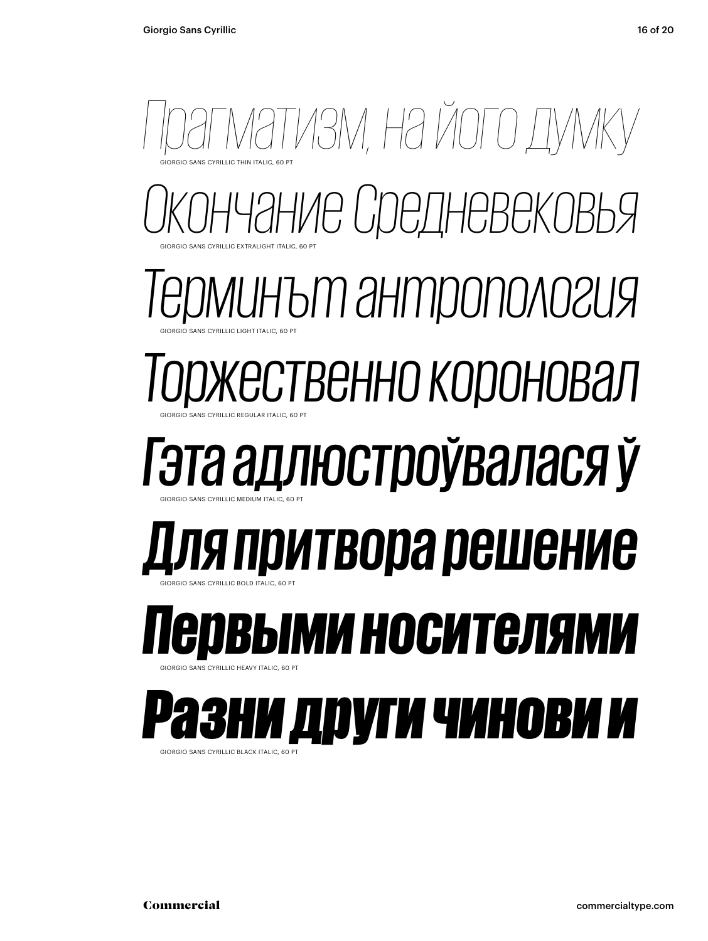

GIORGIO SANS CYRILLIC BLACK ITALIC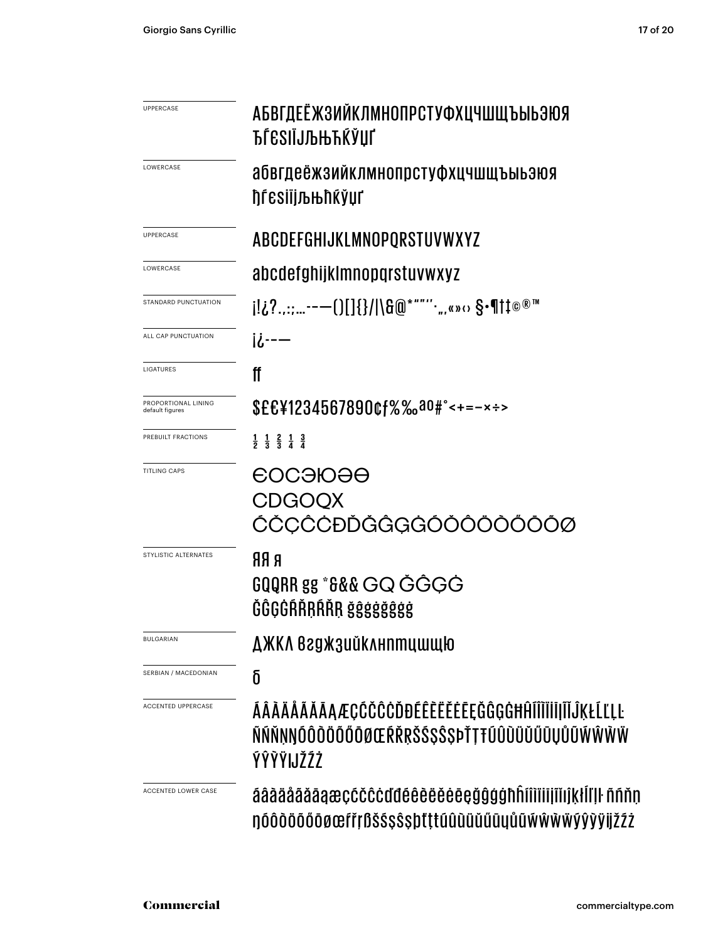| <b>UPPERCASE</b>                       | АБВГДЕЁЖЗИЙКЛМНОПРСТУФХЦЧШЩЪЫЬЭЮЯ<br><b>ЂЃ</b> ЄЅІЇЈЉЊЋЌЎЏҐ                                                    |
|----------------------------------------|----------------------------------------------------------------------------------------------------------------|
| LOWERCASE                              | абвгдеёжзийклмнопрстуфхцчшщъыьэюя<br>ђѓеѕіїјљњћќўџґ                                                            |
| <b>UPPERCASE</b>                       | ABCDEFGHIJKLMNOPQRSTUVWXYZ                                                                                     |
| LOWERCASE                              | abcdefghijklmnopqrstuvwxyz                                                                                     |
| STANDARD PUNCTUATION                   | j!¿?.,:;--—()[]{}/ \&@*""''·",«»⇔ §•¶†‡©®™                                                                     |
| ALL CAP PUNCTUATION                    | <u>ii---</u>                                                                                                   |
| LIGATURES                              | ff                                                                                                             |
| PROPORTIONAL LINING<br>default figures | \$££¥1234567890¢f%‰a0#°<+=-x÷>                                                                                 |
| PREBUILT FRACTIONS                     | $\frac{1}{2}$ $\frac{1}{3}$ $\frac{2}{3}$ $\frac{1}{4}$ $\frac{3}{4}$                                          |
| <b>TITLING CAPS</b>                    | <del>C</del> OCƏЮƏO<br><b>CDGOQX</b><br>ĆČCĈĊĐĎĞĜGĠÓŎŎÖŎ                                                       |
| STYLISTIC ALTERNATES                   | <b>R RR</b><br>GQQRR gg *&&& GQ ĞĜGG<br>ĞĜGĠŔŘRŔŘR ğĝģġğĝģġ                                                    |
| <b>BULGARIAN</b>                       | ДЖКЛ Вгджзийклнптишщю                                                                                          |
| SERBIAN / MACEDONIAN                   | δ                                                                                                              |
| <b>ACCENTED UPPERCASE</b>              | ÁÂÀÄÄÄÄÄAÆÇĆČĈĊĎĐÉÊÈËĔĔĔĘĞĜGĠĦĤĺÎÌĬĬIĬĬĴĶŁĹĽĻĿ<br>ÑŃŇŅŊŎÔŎŎŎŎŎŌØŒŔŘŖŠŚŞŜŞÞŤŢŦŨÛÙŬŮŰŨŲŮŨŴŴŴŴ<br><b>ÝŶŸIJŽŹŻ</b> |
| ACCENTED LOWER CASE                    | áâàäååäāaæçćčĉċďđéêèëěėegğĝġġħĥíîìiiijĩijkłĺľ l ññňn<br>ŊÓÔŎŎŐŎŎØŒſřŗßŠŚŞŜŞþťţŧűûùŭűűüyůũŴŴŴŸŷŷÿijžŹŻ          |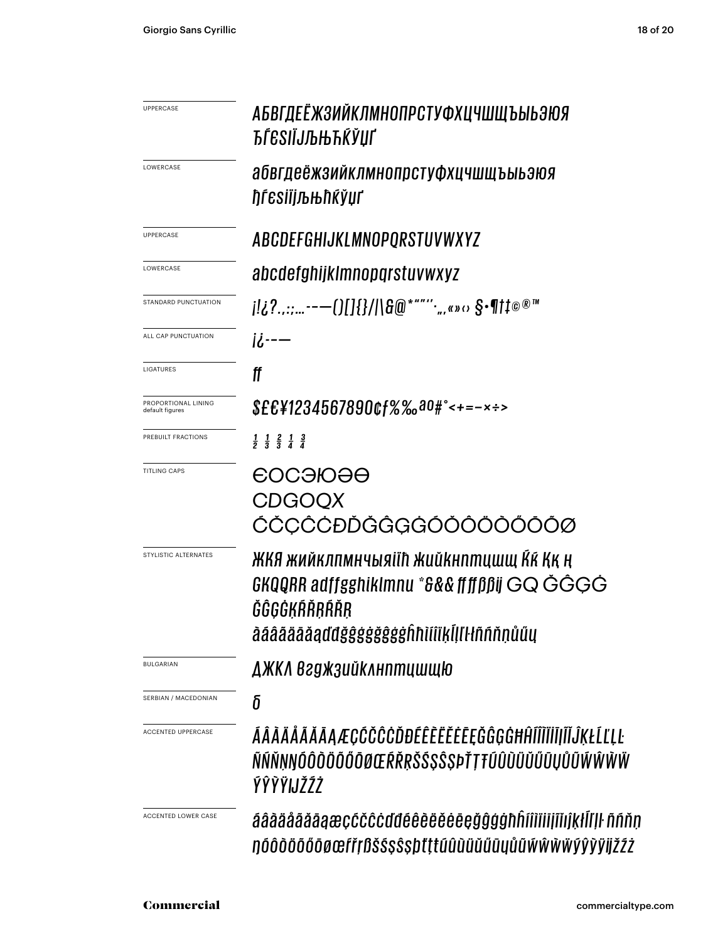| <b>UPPERCASE</b>                       | АБВГДЕЁЖЗИЙКЛМНОПРСТУФХЦЧШЩЪЫЬЭЮЯ<br>ЋЃЄЅІЇЈЉЊЋЌЎЏҐ                                                                                         |
|----------------------------------------|---------------------------------------------------------------------------------------------------------------------------------------------|
| LOWERCASE                              | абвгдеёжзийклмнопрстуфхцчшщъыьэюя<br>ђѓеѕіїјљњћќўџґ                                                                                         |
| <b>UPPERCASE</b>                       | <b>ABCDEFGHIJKLMNOPORSTUVWXYZ</b>                                                                                                           |
| LOWERCASE                              | abcdefghijklmnopqrstuvwxyz                                                                                                                  |
| STANDARD PUNCTUATION                   |                                                                                                                                             |
| ALL CAP PUNCTUATION                    | <u>ii---</u>                                                                                                                                |
| <b>LIGATURES</b>                       | ff                                                                                                                                          |
| PROPORTIONAL LINING<br>default figures | \$££¥1234567890¢f%‰a0#°<+=-x÷>                                                                                                              |
| PREBUILT FRACTIONS                     | $\frac{1}{2}$ $\frac{1}{3}$ $\frac{2}{3}$ $\frac{1}{4}$ $\frac{3}{4}$                                                                       |
| <b>TITLING CAPS</b>                    | <b>EOCƏIOƏO</b><br><b>CDGOQX</b><br>ĆČÇĈĊĐĎĞĜGĠÓŎÔÖŎŐŌŎØ                                                                                    |
| STYLISTIC ALTERNATES                   | ЖКЯ жийклпмнчыяіїћ жийкнптцшщ Кќ Ққ ң<br>GKQQRR adffgghiklmnu *&&&ffffßßij GQ ĠĜĢĠ<br>ĞĜGĠKŔŘRŔŘR<br>aaaaaaaadd gegegegenhillik liik hnnuuu |
| <b>BULGARIAN</b>                       | ДЖКЛ Вгджзийклнптцшщю                                                                                                                       |
| SERBIAN / MACEDONIAN                   | δ                                                                                                                                           |
| ACCENTED UPPERCASE                     | ÁÂÀÄÄĂĂĂĄÆÇĆČĈĊĎĐÉÊÈĔĚĔĘĞĜGĠĦĤĨĨĨĬĨĨĨĨŨĸŁĹĽĻĿ<br>ÑŃŇNNÓÔÒŎŎŐŎØŒŔŘRŠŚSŜSÞŤTŦÚÛÙŬŮŰŨIJŮŨŴŴŴŴ<br>ÝŶŶŸIJŽŹŻ                                     |
| ACCENTED LOWER CASE                    | áâàäååãāaæçćčĉċďđéêèëěėegğĝġġħĥíîìiiijĩijkłĺľ ŀ ññňn<br>ŊÓÔŎŎŐŐŌØŒſřŗßšŚŞŜŞþťţŧúûùŭűűūyůũŴŴŴŸŷŷÿijžŹŻ                                       |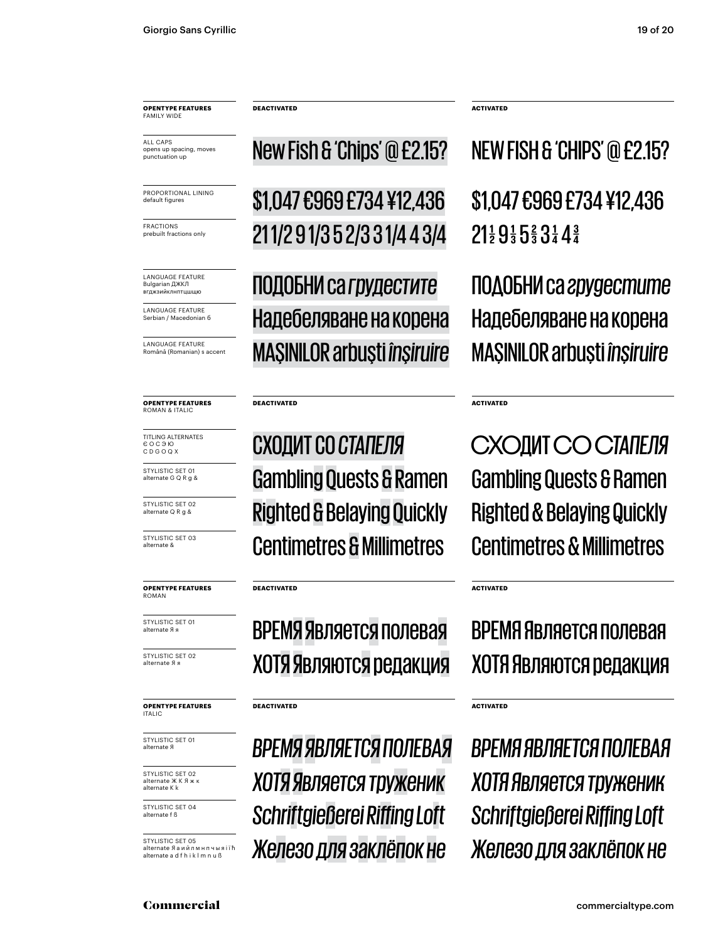ALL CAPS opens up spacing, moves<br>punctuation up

PROPORTIONAL LINING default figures

**FRACTIONS** prebuilt fractions only

LANGUAGE FEATURE **Bulgarian ЛЖКЛ** вгджзийклнптцшщк

LANGUAGE FEATURE Serbian / Macedonian 6

**LANGUAGE EFATURE** Română (Romanian) s accent

#### **OPENTYPE FEATURES** ROMAN & ITALIC

TITLING ALTERNATES  $6009K$ CDGOQX

STYLISTIC SET 01 alternate G Q R a &

STYLISTIC SET 02 alternate Q R g &

STYLISTIC SET 03 alternate &

**OPENTYPE FEATURES** ROMAN

STYLISTIC SET 01 alternate Яя

STYLISTIC SET 02 alternate Яя

#### **OPENTYPE FEATURES ITALIC**

STYLISTIC SET 01 alternate Я

STYLISTIC SET 02 alternate ЖКЯ alternate K k

STYLISTIC SET 04 alternate f B

STYLISTIC SET 05 alternate Яаийлмнпчыяії ћ alternate a d f h i k l m n u ß

New Fish & 'Chips' @ £2.15?

\$1,047 £969 £734 ¥12,436 211/291/352/331/443/4

ПОДОБНИ са грудестите Надебеляване на корена **MAŞINILOR arbuşti înşiruire** 

#### **DEACTIVATED**

#### СХОДИТ СО СТАПЕЛЯ **Gambling Quests & Ramen Righted & Belaying Quickly Centimetres & Millimetres**

#### **DEACTIVATED**

#### ВРЕМЯ Является полевая ХОТЯ Являются редакция

#### **DEACTIVATED**

ВРЕМЯ ЯВЛЯЕТСЯ ПОЛЕВАЯ ХОТЯ Является труженик **Schriftgießerei Riffing Loft** Железо для заклёпок не

**ACTIVATED** 

**ACTIVATED** 

**ACTIVATED** 

**ACTIVATED** 

NEW FISH & 'CHIPS' @ £2.15?

\$1,047 £969 £734 ¥12,436  $21\frac{1}{2}9\frac{1}{3}5\frac{2}{3}3\frac{1}{4}4\frac{3}{4}$ 

ПОДОБНИ са грудестите Надебеляване на корена **MAŞINILOR arbuşti înşiruire** 

СХОДИТ СО СТАПЕЛЯ **Gambling Quests & Ramen Righted & Belaying Quickly Centimetres & Millimetres** 

#### ВРЕМЯ Является полевая ХОТЯ Являются редакция

ВРЕМЯ ЯВЛЯЕТСЯ ПОЛЕВАЯ ХОТЯ Является труженик Schriftgießerei Riffing Loft Железо для заклёпок не